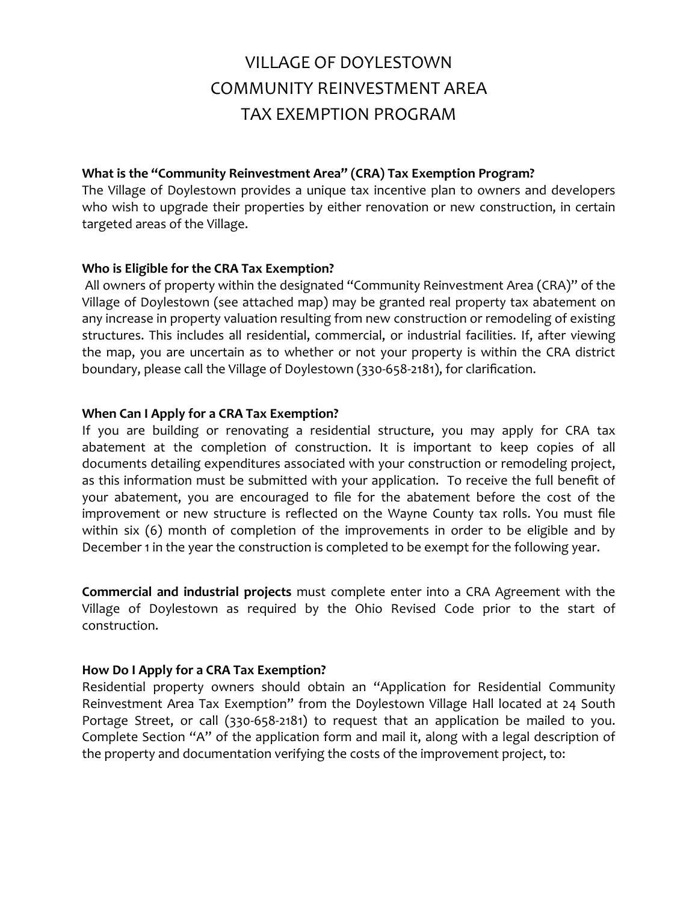# VILLAGE OF DOYLESTOWN COMMUNITY REINVESTMENT AREA TAX EXEMPTION PROGRAM

### **What is the "Community Reinvestment Area" (CRA) Tax Exemption Program?**

The Village of Doylestown provides a unique tax incentive plan to owners and developers who wish to upgrade their properties by either renovation or new construction, in certain targeted areas of the Village.

# **Who is Eligible for the CRA Tax Exemption?**

All owners of property within the designated "Community Reinvestment Area (CRA)" of the Village of Doylestown (see attached map) may be granted real property tax abatement on any increase in property valuation resulting from new construction or remodeling of existing structures. This includes all residential, commercial, or industrial facilities. If, after viewing the map, you are uncertain as to whether or not your property is within the CRA district boundary, please call the Village of Doylestown (330-658-2181), for clarification.

### **When Can I Apply for a CRA Tax Exemption?**

If you are building or renovating a residential structure, you may apply for CRA tax abatement at the completion of construction. It is important to keep copies of all documents detailing expenditures associated with your construction or remodeling project, as this information must be submitted with your application. To receive the full benefit of your abatement, you are encouraged to file for the abatement before the cost of the improvement or new structure is reflected on the Wayne County tax rolls. You must file within six (6) month of completion of the improvements in order to be eligible and by December 1 in the year the construction is completed to be exempt for the following year.

**Commercial and industrial projects** must complete enter into a CRA Agreement with the Village of Doylestown as required by the Ohio Revised Code prior to the start of construction.

# **How Do I Apply for a CRA Tax Exemption?**

Residential property owners should obtain an "Application for Residential Community Reinvestment Area Tax Exemption" from the Doylestown Village Hall located at 24 South Portage Street, or call (330-658-2181) to request that an application be mailed to you. Complete Section "A" of the application form and mail it, along with a legal description of the property and documentation verifying the costs of the improvement project, to: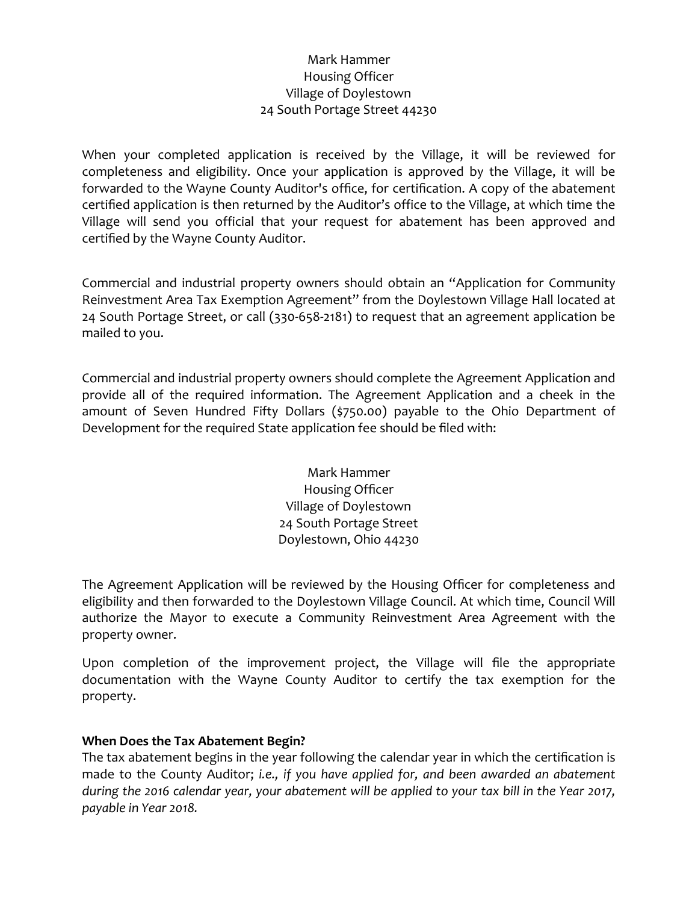# Mark Hammer Housing Officer Village of Doylestown 24 South Portage Street 44230

When your completed application is received by the Village, it will be reviewed for completeness and eligibility. Once your application is approved by the Village, it will be forwarded to the Wayne County Auditor's office, for certification. A copy of the abatement certified application is then returned by the Auditor's office to the Village, at which time the Village will send you official that your request for abatement has been approved and certified by the Wayne County Auditor.

Commercial and industrial property owners should obtain an "Application for Community Reinvestment Area Tax Exemption Agreement" from the Doylestown Village Hall located at 24 South Portage Street, or call (330-658-2181) to request that an agreement application be mailed to you.

Commercial and industrial property owners should complete the Agreement Application and provide all of the required information. The Agreement Application and a cheek in the amount of Seven Hundred Fifty Dollars (\$750.00) payable to the Ohio Department of Development for the required State application fee should be filed with:

> Mark Hammer Housing Officer Village of Doylestown 24 South Portage Street Doylestown, Ohio 44230

The Agreement Application will be reviewed by the Housing Officer for completeness and eligibility and then forwarded to the Doylestown Village Council. At which time, Council Will authorize the Mayor to execute a Community Reinvestment Area Agreement with the property owner.

Upon completion of the improvement project, the Village will file the appropriate documentation with the Wayne County Auditor to certify the tax exemption for the property.

# **When Does the Tax Abatement Begin?**

The tax abatement begins in the year following the calendar year in which the certification is made to the County Auditor; *i.e., if you have applied for, and been awarded an abatement during the 2016 calendar year, your abatement will be applied to your tax bill in the Year 2017, payable in Year 2018.*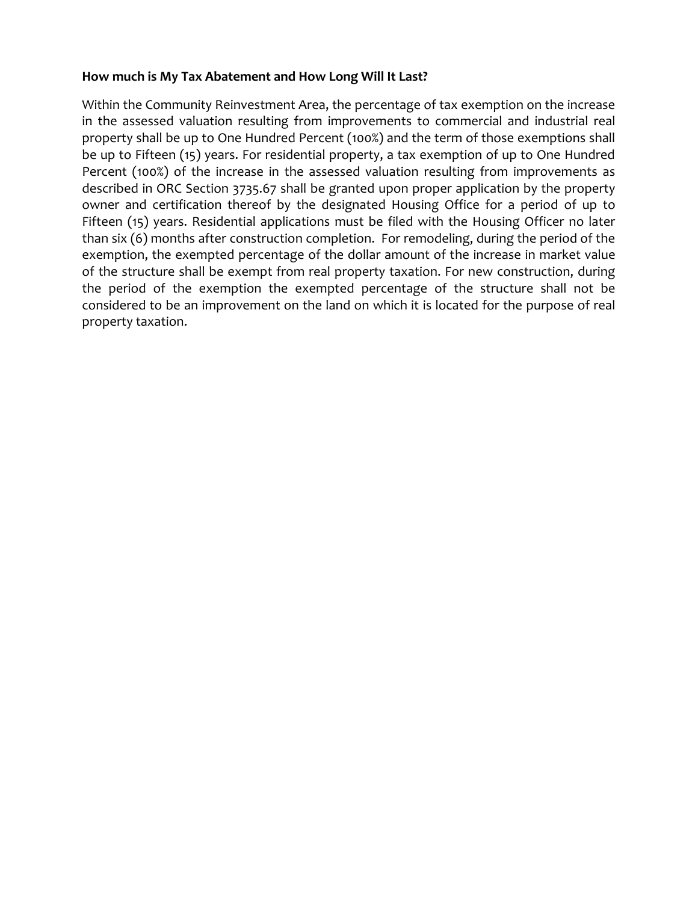#### **How much is My Tax Abatement and How Long Will It Last?**

Within the Community Reinvestment Area, the percentage of tax exemption on the increase in the assessed valuation resulting from improvements to commercial and industrial real property shall be up to One Hundred Percent (100%) and the term of those exemptions shall be up to Fifteen (15) years. For residential property, a tax exemption of up to One Hundred Percent (100%) of the increase in the assessed valuation resulting from improvements as described in ORC Section 3735.67 shall be granted upon proper application by the property owner and certification thereof by the designated Housing Office for a period of up to Fifteen (15) years. Residential applications must be filed with the Housing Officer no later than six (6) months after construction completion. For remodeling, during the period of the exemption, the exempted percentage of the dollar amount of the increase in market value of the structure shall be exempt from real property taxation. For new construction, during the period of the exemption the exempted percentage of the structure shall not be considered to be an improvement on the land on which it is located for the purpose of real property taxation.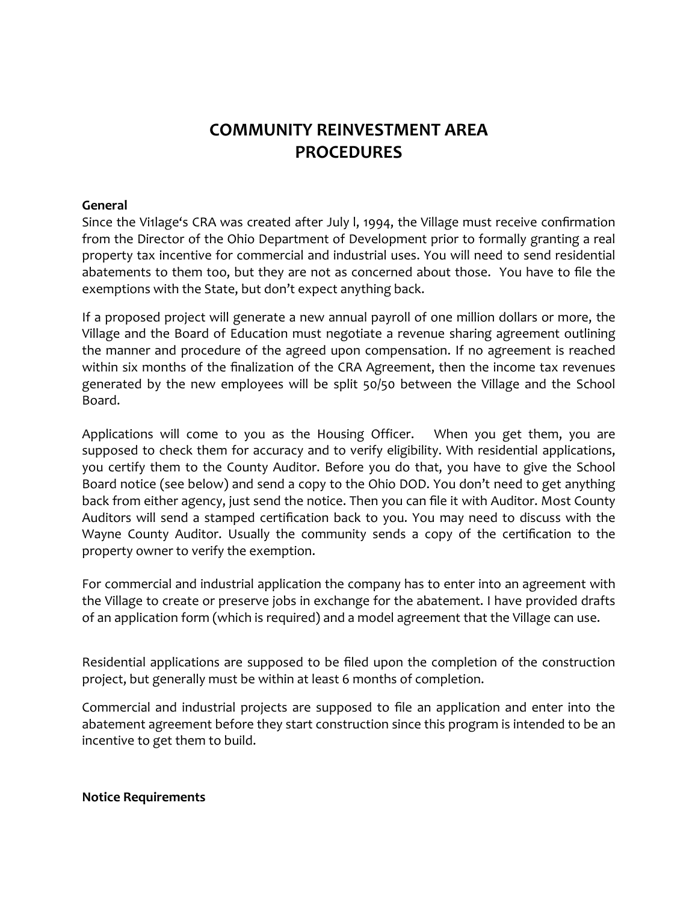# **COMMUNITY REINVESTMENT AREA PROCEDURES**

#### **General**

Since the Vi1lage's CRA was created after July l, 1994, the Village must receive confirmation from the Director of the Ohio Department of Development prior to formally granting a real property tax incentive for commercial and industrial uses. You will need to send residential abatements to them too, but they are not as concerned about those. You have to file the exemptions with the State, but don't expect anything back.

If a proposed project will generate a new annual payroll of one million dollars or more, the Village and the Board of Education must negotiate a revenue sharing agreement outlining the manner and procedure of the agreed upon compensation. If no agreement is reached within six months of the finalization of the CRA Agreement, then the income tax revenues generated by the new employees will be split 50/50 between the Village and the School Board.

Applications will come to you as the Housing Officer. When you get them, you are supposed to check them for accuracy and to verify eligibility. With residential applications, you certify them to the County Auditor. Before you do that, you have to give the School Board notice (see below) and send a copy to the Ohio DOD. You don't need to get anything back from either agency, just send the notice. Then you can file it with Auditor. Most County Auditors will send a stamped certification back to you. You may need to discuss with the Wayne County Auditor. Usually the community sends a copy of the certification to the property owner to verify the exemption.

For commercial and industrial application the company has to enter into an agreement with the Village to create or preserve jobs in exchange for the abatement. I have provided drafts of an application form (which is required) and a model agreement that the Village can use.

Residential applications are supposed to be filed upon the completion of the construction project, but generally must be within at least 6 months of completion.

Commercial and industrial projects are supposed to file an application and enter into the abatement agreement before they start construction since this program is intended to be an incentive to get them to build.

**Notice Requirements**